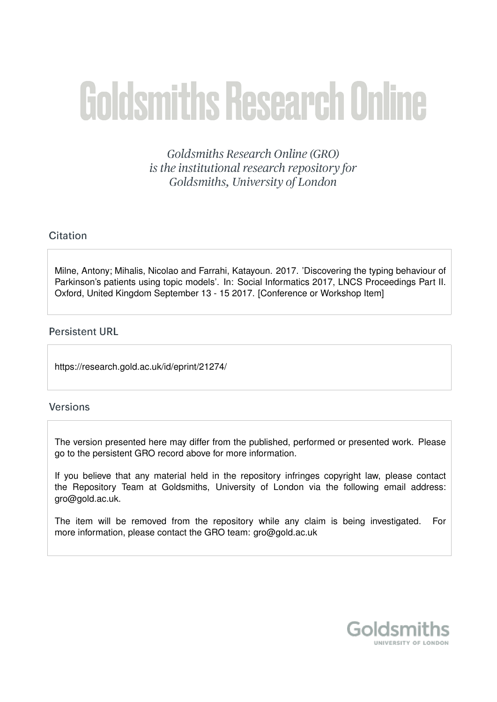# **Goldsmiths Research Online**

Goldsmiths Research Online (GRO) is the institutional research repository for Goldsmiths, University of London

# Citation

Milne, Antony; Mihalis, Nicolao and Farrahi, Katayoun. 2017. 'Discovering the typing behaviour of Parkinson's patients using topic models'. In: Social Informatics 2017, LNCS Proceedings Part II. Oxford, United Kingdom September 13 - 15 2017. [Conference or Workshop Item]

# **Persistent URL**

https://research.gold.ac.uk/id/eprint/21274/

# **Versions**

The version presented here may differ from the published, performed or presented work. Please go to the persistent GRO record above for more information.

If you believe that any material held in the repository infringes copyright law, please contact the Repository Team at Goldsmiths, University of London via the following email address: gro@gold.ac.uk.

The item will be removed from the repository while any claim is being investigated. For more information, please contact the GRO team: gro@gold.ac.uk

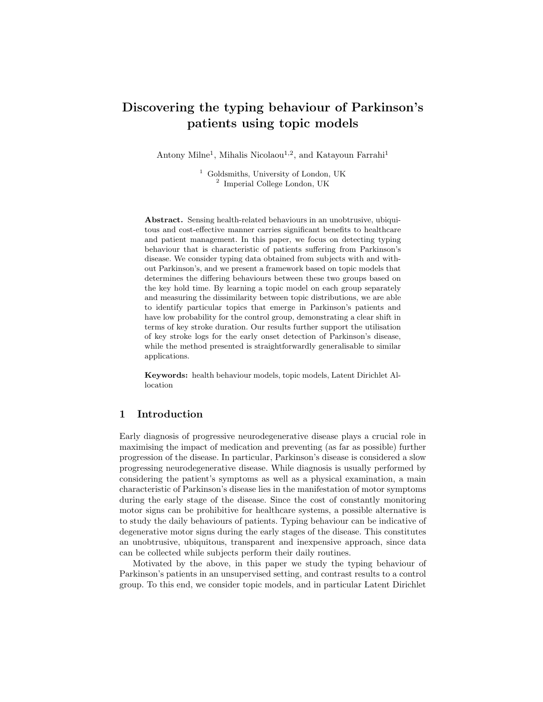# Discovering the typing behaviour of Parkinson's patients using topic models

Antony Milne<sup>1</sup>, Mihalis Nicolaou<sup>1,2</sup>, and Katayoun Farrahi<sup>1</sup>

<sup>1</sup> Goldsmiths, University of London, UK <sup>2</sup> Imperial College London, UK

Abstract. Sensing health-related behaviours in an unobtrusive, ubiquitous and cost-effective manner carries significant benefits to healthcare and patient management. In this paper, we focus on detecting typing behaviour that is characteristic of patients suffering from Parkinson's disease. We consider typing data obtained from subjects with and without Parkinson's, and we present a framework based on topic models that determines the differing behaviours between these two groups based on the key hold time. By learning a topic model on each group separately and measuring the dissimilarity between topic distributions, we are able to identify particular topics that emerge in Parkinson's patients and have low probability for the control group, demonstrating a clear shift in terms of key stroke duration. Our results further support the utilisation of key stroke logs for the early onset detection of Parkinson's disease, while the method presented is straightforwardly generalisable to similar applications.

Keywords: health behaviour models, topic models, Latent Dirichlet Allocation

# 1 Introduction

Early diagnosis of progressive neurodegenerative disease plays a crucial role in maximising the impact of medication and preventing (as far as possible) further progression of the disease. In particular, Parkinson's disease is considered a slow progressing neurodegenerative disease. While diagnosis is usually performed by considering the patient's symptoms as well as a physical examination, a main characteristic of Parkinson's disease lies in the manifestation of motor symptoms during the early stage of the disease. Since the cost of constantly monitoring motor signs can be prohibitive for healthcare systems, a possible alternative is to study the daily behaviours of patients. Typing behaviour can be indicative of degenerative motor signs during the early stages of the disease. This constitutes an unobtrusive, ubiquitous, transparent and inexpensive approach, since data can be collected while subjects perform their daily routines.

Motivated by the above, in this paper we study the typing behaviour of Parkinson's patients in an unsupervised setting, and contrast results to a control group. To this end, we consider topic models, and in particular Latent Dirichlet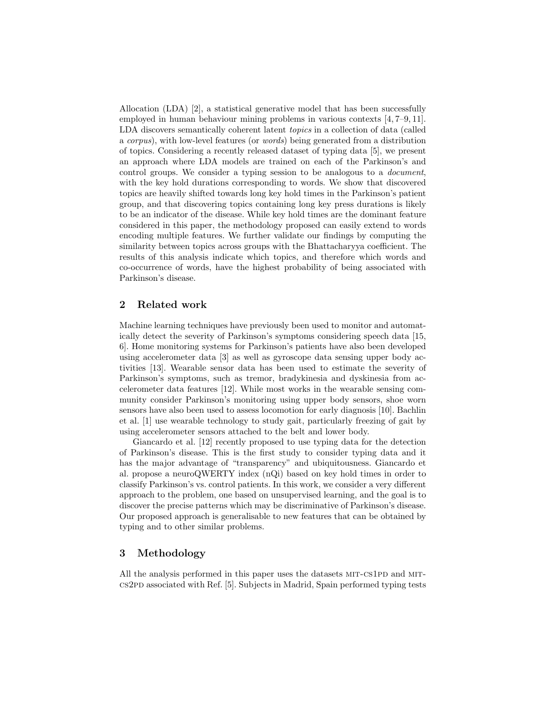Allocation (LDA) [2], a statistical generative model that has been successfully employed in human behaviour mining problems in various contexts [4, 7–9, 11]. LDA discovers semantically coherent latent topics in a collection of data (called a corpus), with low-level features (or words) being generated from a distribution of topics. Considering a recently released dataset of typing data [5], we present an approach where LDA models are trained on each of the Parkinson's and control groups. We consider a typing session to be analogous to a document, with the key hold durations corresponding to words. We show that discovered topics are heavily shifted towards long key hold times in the Parkinson's patient group, and that discovering topics containing long key press durations is likely to be an indicator of the disease. While key hold times are the dominant feature considered in this paper, the methodology proposed can easily extend to words encoding multiple features. We further validate our findings by computing the similarity between topics across groups with the Bhattacharyya coefficient. The results of this analysis indicate which topics, and therefore which words and co-occurrence of words, have the highest probability of being associated with Parkinson's disease.

# 2 Related work

Machine learning techniques have previously been used to monitor and automatically detect the severity of Parkinson's symptoms considering speech data [15, 6]. Home monitoring systems for Parkinson's patients have also been developed using accelerometer data [3] as well as gyroscope data sensing upper body activities [13]. Wearable sensor data has been used to estimate the severity of Parkinson's symptoms, such as tremor, bradykinesia and dyskinesia from accelerometer data features [12]. While most works in the wearable sensing community consider Parkinson's monitoring using upper body sensors, shoe worn sensors have also been used to assess locomotion for early diagnosis [10]. Bachlin et al. [1] use wearable technology to study gait, particularly freezing of gait by using accelerometer sensors attached to the belt and lower body.

Giancardo et al. [12] recently proposed to use typing data for the detection of Parkinson's disease. This is the first study to consider typing data and it has the major advantage of "transparency" and ubiquitousness. Giancardo et al. propose a neuroQWERTY index (nQi) based on key hold times in order to classify Parkinson's vs. control patients. In this work, we consider a very different approach to the problem, one based on unsupervised learning, and the goal is to discover the precise patterns which may be discriminative of Parkinson's disease. Our proposed approach is generalisable to new features that can be obtained by typing and to other similar problems.

## 3 Methodology

All the analysis performed in this paper uses the datasets MIT-CS1PD and MITcs2pd associated with Ref. [5]. Subjects in Madrid, Spain performed typing tests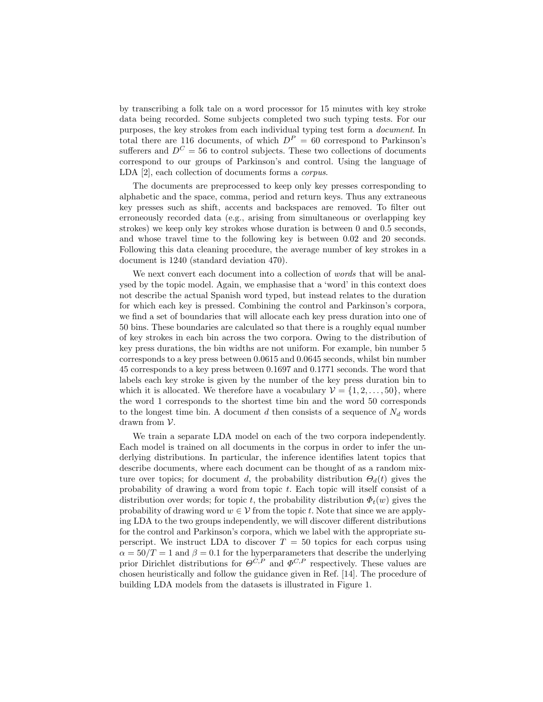by transcribing a folk tale on a word processor for 15 minutes with key stroke data being recorded. Some subjects completed two such typing tests. For our purposes, the key strokes from each individual typing test form a document. In total there are 116 documents, of which  $D<sup>P</sup> = 60$  correspond to Parkinson's sufferers and  $D^C = 56$  to control subjects. These two collections of documents correspond to our groups of Parkinson's and control. Using the language of LDA [2], each collection of documents forms a corpus.

The documents are preprocessed to keep only key presses corresponding to alphabetic and the space, comma, period and return keys. Thus any extraneous key presses such as shift, accents and backspaces are removed. To filter out erroneously recorded data (e.g., arising from simultaneous or overlapping key strokes) we keep only key strokes whose duration is between 0 and 0.5 seconds, and whose travel time to the following key is between 0.02 and 20 seconds. Following this data cleaning procedure, the average number of key strokes in a document is 1240 (standard deviation 470).

We next convert each document into a collection of *words* that will be analysed by the topic model. Again, we emphasise that a 'word' in this context does not describe the actual Spanish word typed, but instead relates to the duration for which each key is pressed. Combining the control and Parkinson's corpora, we find a set of boundaries that will allocate each key press duration into one of 50 bins. These boundaries are calculated so that there is a roughly equal number of key strokes in each bin across the two corpora. Owing to the distribution of key press durations, the bin widths are not uniform. For example, bin number 5 corresponds to a key press between 0.0615 and 0.0645 seconds, whilst bin number 45 corresponds to a key press between 0.1697 and 0.1771 seconds. The word that labels each key stroke is given by the number of the key press duration bin to which it is allocated. We therefore have a vocabulary  $\mathcal{V} = \{1, 2, \ldots, 50\}$ , where the word 1 corresponds to the shortest time bin and the word 50 corresponds to the longest time bin. A document  $d$  then consists of a sequence of  $N_d$  words drawn from V.

We train a separate LDA model on each of the two corpora independently. Each model is trained on all documents in the corpus in order to infer the underlying distributions. In particular, the inference identifies latent topics that describe documents, where each document can be thought of as a random mixture over topics; for document d, the probability distribution  $\Theta_d(t)$  gives the probability of drawing a word from topic t. Each topic will itself consist of a distribution over words; for topic t, the probability distribution  $\Phi_t(w)$  gives the probability of drawing word  $w \in V$  from the topic t. Note that since we are applying LDA to the two groups independently, we will discover different distributions for the control and Parkinson's corpora, which we label with the appropriate superscript. We instruct LDA to discover  $T = 50$  topics for each corpus using  $\alpha = 50/T = 1$  and  $\beta = 0.1$  for the hyperparameters that describe the underlying prior Dirichlet distributions for  $\Theta^{C,P}$  and  $\Phi^{C,P}$  respectively. These values are chosen heuristically and follow the guidance given in Ref. [14]. The procedure of building LDA models from the datasets is illustrated in Figure 1.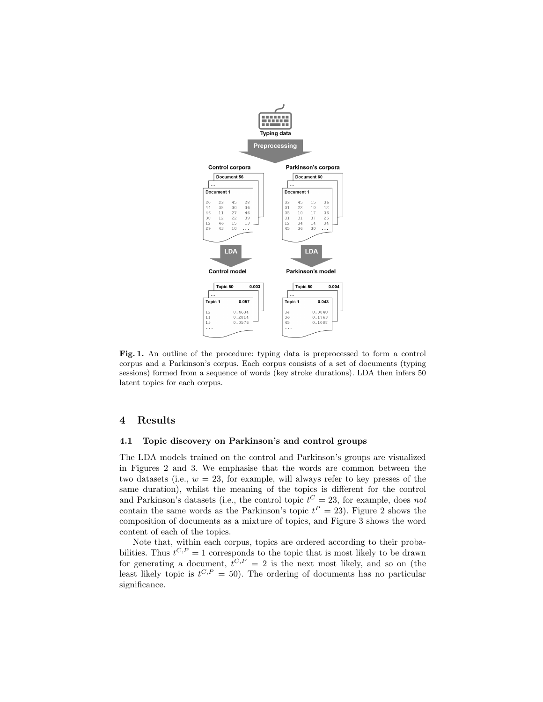

Fig. 1. An outline of the procedure: typing data is preprocessed to form a control corpus and a Parkinson's corpus. Each corpus consists of a set of documents (typing sessions) formed from a sequence of words (key stroke durations). LDA then infers 50 latent topics for each corpus.

#### 4 Results

#### 4.1 Topic discovery on Parkinson's and control groups

The LDA models trained on the control and Parkinson's groups are visualized in Figures 2 and 3. We emphasise that the words are common between the two datasets (i.e.,  $w = 23$ , for example, will always refer to key presses of the same duration), whilst the meaning of the topics is different for the control and Parkinson's datasets (i.e., the control topic  $t^C = 23$ , for example, does not contain the same words as the Parkinson's topic  $t^P = 23$ ). Figure 2 shows the composition of documents as a mixture of topics, and Figure 3 shows the word content of each of the topics.

Note that, within each corpus, topics are ordered according to their probabilities. Thus  $t^{C,P} = 1$  corresponds to the topic that is most likely to be drawn for generating a document,  $t^{C,P} = 2$  is the next most likely, and so on (the least likely topic is  $t^{C,P} = 50$ . The ordering of documents has no particular significance.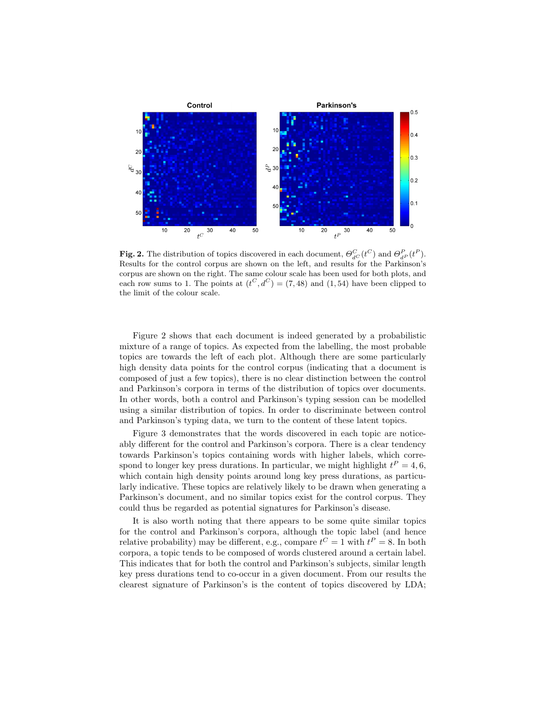

Fig. 2. The distribution of topics discovered in each document,  $\Theta_{dC}^{C}(t^C)$  and  $\Theta_{dP}^{P}(t^P)$ . Results for the control corpus are shown on the left, and results for the Parkinson's corpus are shown on the right. The same colour scale has been used for both plots, and each row sums to 1. The points at  $(t^C, d^C) = (7, 48)$  and  $(1, 54)$  have been clipped to the limit of the colour scale.

Figure 2 shows that each document is indeed generated by a probabilistic mixture of a range of topics. As expected from the labelling, the most probable topics are towards the left of each plot. Although there are some particularly high density data points for the control corpus (indicating that a document is composed of just a few topics), there is no clear distinction between the control and Parkinson's corpora in terms of the distribution of topics over documents. In other words, both a control and Parkinson's typing session can be modelled using a similar distribution of topics. In order to discriminate between control and Parkinson's typing data, we turn to the content of these latent topics.

Figure 3 demonstrates that the words discovered in each topic are noticeably different for the control and Parkinson's corpora. There is a clear tendency towards Parkinson's topics containing words with higher labels, which correspond to longer key press durations. In particular, we might highlight  $t^P = 4, 6$ , which contain high density points around long key press durations, as particularly indicative. These topics are relatively likely to be drawn when generating a Parkinson's document, and no similar topics exist for the control corpus. They could thus be regarded as potential signatures for Parkinson's disease.

It is also worth noting that there appears to be some quite similar topics for the control and Parkinson's corpora, although the topic label (and hence relative probability) may be different, e.g., compare  $t^C = 1$  with  $t^P = 8$ . In both corpora, a topic tends to be composed of words clustered around a certain label. This indicates that for both the control and Parkinson's subjects, similar length key press durations tend to co-occur in a given document. From our results the clearest signature of Parkinson's is the content of topics discovered by LDA;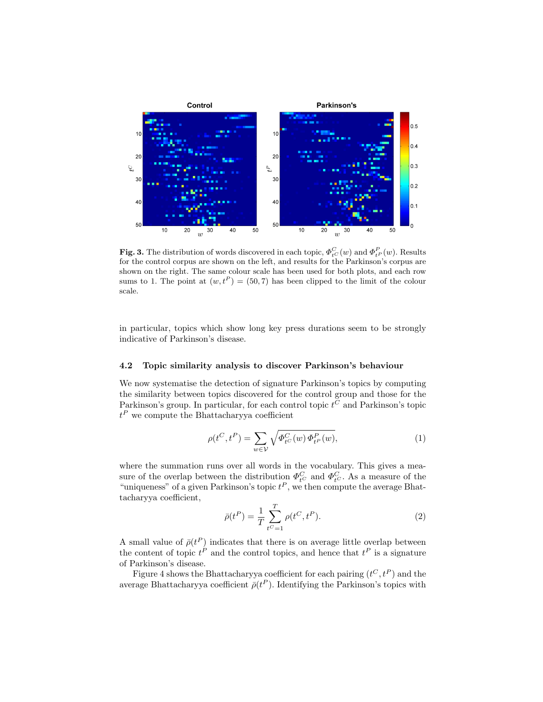

Fig. 3. The distribution of words discovered in each topic,  $\Phi_{tC}^{C}(w)$  and  $\Phi_{tP}^{P}(w)$ . Results for the control corpus are shown on the left, and results for the Parkinson's corpus are shown on the right. The same colour scale has been used for both plots, and each row sums to 1. The point at  $(w, t^P) = (50, 7)$  has been clipped to the limit of the colour scale.

in particular, topics which show long key press durations seem to be strongly indicative of Parkinson's disease.

## 4.2 Topic similarity analysis to discover Parkinson's behaviour

We now systematise the detection of signature Parkinson's topics by computing the similarity between topics discovered for the control group and those for the Parkinson's group. In particular, for each control topic  $t^C$  and Parkinson's topic  $t^P$  we compute the Bhattacharyya coefficient

$$
\rho(t^C, t^P) = \sum_{w \in \mathcal{V}} \sqrt{\Phi_{t^C}^C(w) \Phi_{t^P}^P(w)},\tag{1}
$$

where the summation runs over all words in the vocabulary. This gives a measure of the overlap between the distribution  $\Phi_{tC}^C$  and  $\Phi_{tC}^C$ . As a measure of the "uniqueness" of a given Parkinson's topic  $t^P$ , we then compute the average Bhattacharyya coefficient,

$$
\bar{\rho}(t^P) = \frac{1}{T} \sum_{t^C=1}^T \rho(t^C, t^P).
$$
\n(2)

A small value of  $\bar{\rho}(t^P)$  indicates that there is on average little overlap between the content of topic  $t^P$  and the control topics, and hence that  $t^P$  is a signature of Parkinson's disease.

Figure 4 shows the Bhattacharyya coefficient for each pairing  $(t^C, t^P)$  and the average Bhattacharyya coefficient  $\bar{\rho}(t^P)$ . Identifying the Parkinson's topics with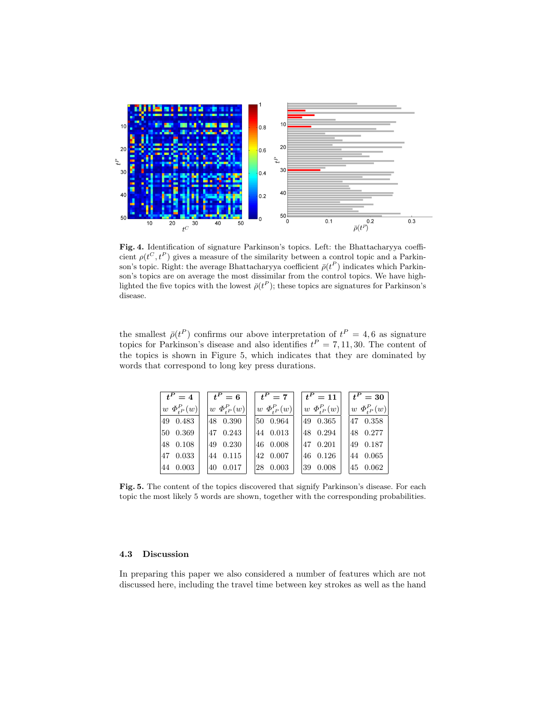

Fig. 4. Identification of signature Parkinson's topics. Left: the Bhattacharyya coefficient  $\rho(t^C, t^P)$  gives a measure of the similarity between a control topic and a Parkinson's topic. Right: the average Bhattacharyya coefficient  $\bar{\rho}(t^P)$  indicates which Parkinson's topics are on average the most dissimilar from the control topics. We have highlighted the five topics with the lowest  $\bar{\rho}(t^P)$ ; these topics are signatures for Parkinson's disease.

the smallest  $\bar{\rho}(t^P)$  confirms our above interpretation of  $t^P = 4, 6$  as signature topics for Parkinson's disease and also identifies  $t^P = 7, 11, 30$ . The content of the topics is shown in Figure 5, which indicates that they are dominated by words that correspond to long key press durations.

| $t^P=4$            | $ t^P=6 $            | $t^P=7$              | $\mid t^P=11 \mid$   | $\mid t^P=30\mid$    |
|--------------------|----------------------|----------------------|----------------------|----------------------|
| $w \Phi_{tP}^P(w)$ | $ w \Phi_{tP}^P(w) $ | $ w \Phi_{tP}^P(w) $ | $ w \Phi_{tP}^P(w) $ | $ w \Phi_{tP}^P(w) $ |
| 49 0.483           | 48 0.390             | 50 0.964             | $ 49 \t0.365 $       | 47 0.358             |
| 50 0.369           | $ 47 \t0.243 $       | 44 0.013             | 48 0.294             | 48 0.277             |
| 48 0.108           | 49 0.230             | 46 0.008             | 47 0.201             | $ 49 \t0.187$        |
| $ 47 \quad 0.033$  | 44 0.115             | 42 0.007             | 46 0.126             | 44 0.065             |
| $ 44 \quad 0.003$  | $ 40 \t 0.017 $      | $ 28 \t0.003$        | 39 0.008             | 45 0.062             |

Fig. 5. The content of the topics discovered that signify Parkinson's disease. For each topic the most likely 5 words are shown, together with the corresponding probabilities.

#### 4.3 Discussion

In preparing this paper we also considered a number of features which are not discussed here, including the travel time between key strokes as well as the hand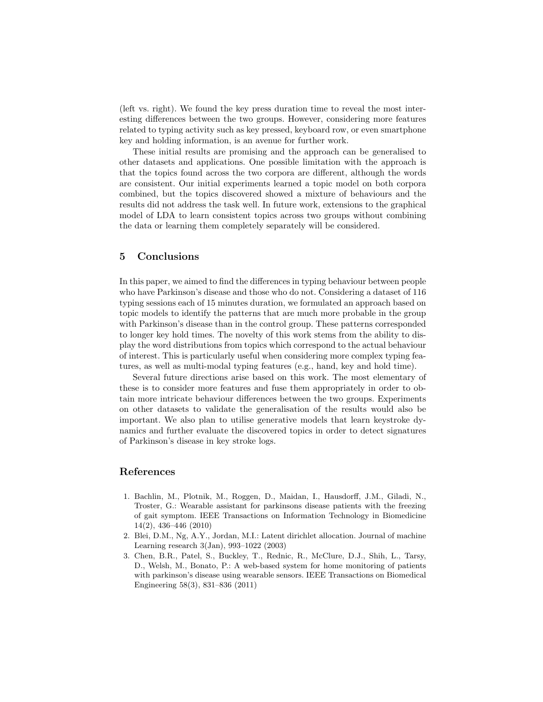(left vs. right). We found the key press duration time to reveal the most interesting differences between the two groups. However, considering more features related to typing activity such as key pressed, keyboard row, or even smartphone key and holding information, is an avenue for further work.

These initial results are promising and the approach can be generalised to other datasets and applications. One possible limitation with the approach is that the topics found across the two corpora are different, although the words are consistent. Our initial experiments learned a topic model on both corpora combined, but the topics discovered showed a mixture of behaviours and the results did not address the task well. In future work, extensions to the graphical model of LDA to learn consistent topics across two groups without combining the data or learning them completely separately will be considered.

#### 5 Conclusions

In this paper, we aimed to find the differences in typing behaviour between people who have Parkinson's disease and those who do not. Considering a dataset of 116 typing sessions each of 15 minutes duration, we formulated an approach based on topic models to identify the patterns that are much more probable in the group with Parkinson's disease than in the control group. These patterns corresponded to longer key hold times. The novelty of this work stems from the ability to display the word distributions from topics which correspond to the actual behaviour of interest. This is particularly useful when considering more complex typing features, as well as multi-modal typing features (e.g., hand, key and hold time).

Several future directions arise based on this work. The most elementary of these is to consider more features and fuse them appropriately in order to obtain more intricate behaviour differences between the two groups. Experiments on other datasets to validate the generalisation of the results would also be important. We also plan to utilise generative models that learn keystroke dynamics and further evaluate the discovered topics in order to detect signatures of Parkinson's disease in key stroke logs.

## References

- 1. Bachlin, M., Plotnik, M., Roggen, D., Maidan, I., Hausdorff, J.M., Giladi, N., Troster, G.: Wearable assistant for parkinsons disease patients with the freezing of gait symptom. IEEE Transactions on Information Technology in Biomedicine 14(2), 436–446 (2010)
- 2. Blei, D.M., Ng, A.Y., Jordan, M.I.: Latent dirichlet allocation. Journal of machine Learning research 3(Jan), 993–1022 (2003)
- 3. Chen, B.R., Patel, S., Buckley, T., Rednic, R., McClure, D.J., Shih, L., Tarsy, D., Welsh, M., Bonato, P.: A web-based system for home monitoring of patients with parkinson's disease using wearable sensors. IEEE Transactions on Biomedical Engineering 58(3), 831–836 (2011)